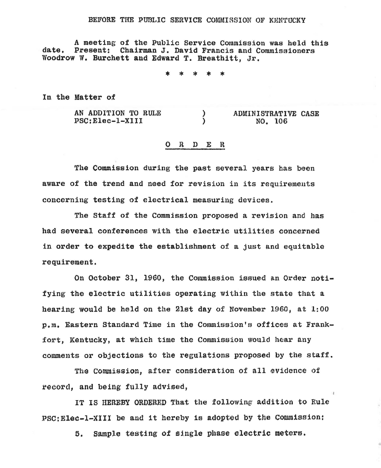## BEFORE THE PUBLIC SERVICE COMMISSION OF KENTUCKY

A meeting of the Public Service Commission was held this date. Present: Chairman J. David Francis and Commissioners Woodrow W. Burchett and Edward T. Breathitt. Jr.

\* \* \* \* \*

In the Matter of

AN ADDITION TO RULE PSC: Elec-1-XI II ) ) ADMINISTRATIVE CASE NO. 106

## 0 R D E R

The Commission during the past several years has been aware of the trend and need for revision in its requirements concerning testing of electrical measuring devices.

The Staff of the Commission proposed a revision and has had several conferences with the electric utilities concerned in order to expedite the establishment of a just and equitable requirement.

On October 31, 1960, the Commission issued an Order notifying the electric utilities operating within the state that a hearing would be held on the 21st day of November 1960, at  $1:00$ p.m. Eastern Standard Time in the Commission's offices at Frankfort. Kentucky, at which time the Commission would hear any comments or objections to the regulations proposed by the staff.

The Commission, after consideration of all evidence of record, and being fully advised,

IT IS HEREBY ORDERED That the following addition to Fule PSC:Elec-1-XIII be and it hereby is adopted by the Commission:

5. Sample testing of single phase electric meters.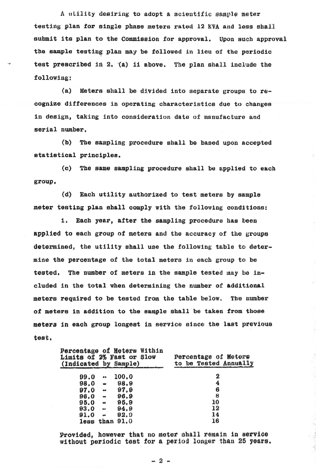$A$  utility desiring to adopt a scientific sample meter testing plan for single phase meters rated 12 KVA and less shall submit its plan to the Commission for approval. Upon such approval the sample testing plan may be followed in lieu of the periodic test prescribed in 2. (a) ii above. The plan shall include the following:

(a) Meters shall be diVided into separate groups to recognize differences in operating characteristics due to changes in design, taking into consideration date of manufacture and serial number,

(b) The sampling procedure shall be based upon accepted statistical principles.

(c) The same sampling procedure shall be applied to each group.

{d) Each utility authorized to test meters by sample meter testing plan shall comply with the following conditions:

1. Each year, after the sampling procedure has been applied to each group of meters and the accuracy of the groups determined, the utility shall use the following table to determine the percentage of the total meters in each group to be tested, The number of meters in the sample tested may ba included in the total when determining the number of additional meters required to be tested from the table below. The number of meters in addition to the sample shall be taken from those meters in each group longest in service since the last previous test.

| Percentage of Meters Within<br>Limits of 2% Fast or Slow<br>(Indicated by Sample) |                      |             | Percentage of Meters<br>to be Tested Annually |
|-----------------------------------------------------------------------------------|----------------------|-------------|-----------------------------------------------|
| 99.0                                                                              | $\mathbf{a}$         | 100.0       | 2                                             |
| 98.0                                                                              | $\bullet$            | 98.9        | 4                                             |
| 97.0                                                                              | $\frac{d-1}{2}$      | 97.9        | 6                                             |
| 96.0                                                                              | $\ddot{\phantom{a}}$ | 96.9        | 8                                             |
| 95.0                                                                              | $\pmb{\text{a}}$     | 95.9        | 10                                            |
| 93.0                                                                              | $\overline{a}$       | 94.9        | 12                                            |
| 91.0                                                                              | <b>WHE</b>           | 92.9        | 14                                            |
| less                                                                              |                      | than $91.0$ | 16                                            |

Provided, however that no meter shall remain in service without periodic test for a period longer than 25 years.